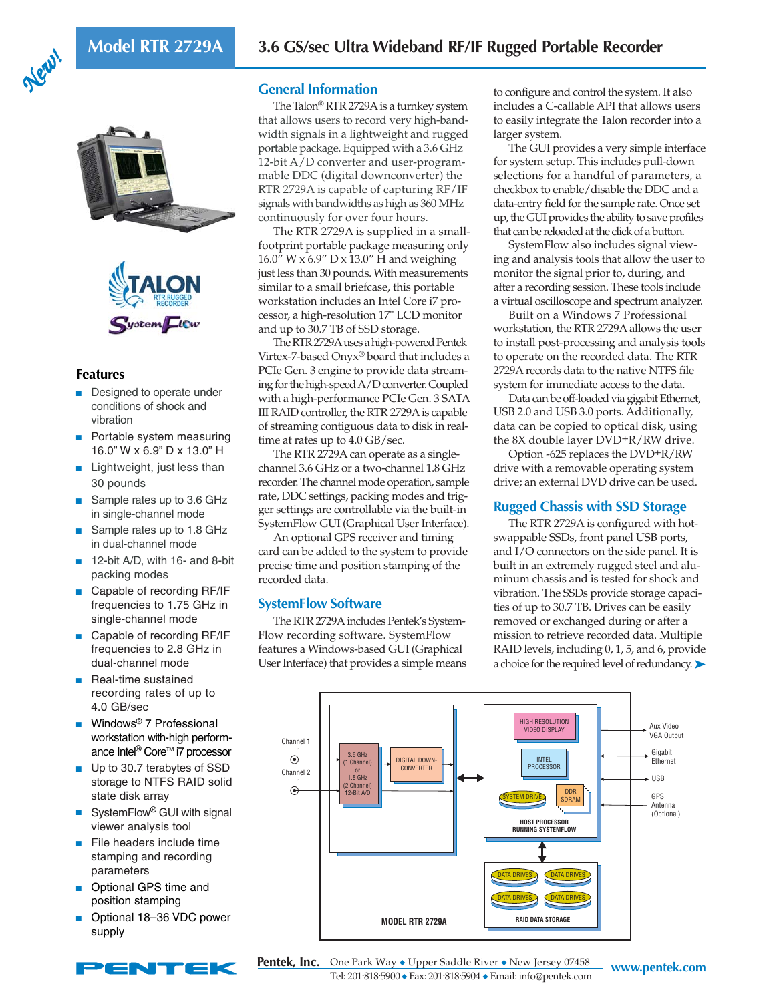





## **Features**

- Designed to operate under conditions of shock and vibration
- Portable system measuring 16.0" W x 6.9" D x 13.0" H
- Lightweight, just less than 30 pounds
- Sample rates up to 3.6 GHz in single-channel mode
- Sample rates up to 1.8 GHz in dual-channel mode
- 12-bit A/D, with 16- and 8-bit packing modes
- Capable of recording RF/IF frequencies to 1.75 GHz in single-channel mode
- Capable of recording RF/IF frequencies to 2.8 GHz in dual-channel mode
- Real-time sustained recording rates of up to 4.0 GB/sec
- Windows<sup>®</sup> 7 Professional workstation with-high performance Intel<sup>®</sup> Core<sup>™</sup> i7 processor
- Up to 30.7 terabytes of SSD storage to NTFS RAID solid state disk array
- SystemFlow<sup>®</sup> GUI with signal viewer analysis tool
- File headers include time stamping and recording parameters
- Optional GPS time and position stamping
- Optional 18-36 VDC power supply



## **General Information**

The Talon® RTR 2729A is a turnkey system that allows users to record very high-bandwidth signals in a lightweight and rugged portable package. Equipped with a 3.6 GHz 12-bit A/D converter and user-programmable DDC (digital downconverter) the RTR 2729A is capable of capturing RF/IF signals with bandwidths as high as 360 MHz continuously for over four hours.

The RTR 2729A is supplied in a smallfootprint portable package measuring only  $16.0$ " W x  $6.9$ " D x  $13.0$ " H and weighing just less than 30 pounds. With measurements similar to a small briefcase, this portable workstation includes an Intel Core i7 processor, a high-resolution 17" LCD monitor and up to 30.7 TB of SSD storage.

The RTR 2729A uses a high-powered Pentek Virtex-7-based Onyx® board that includes a PCIe Gen. 3 engine to provide data streaming for the high-speed A/D converter. Coupled with a high-performance PCIe Gen. 3 SATA III RAID controller, the RTR 2729A is capable of streaming contiguous data to disk in realtime at rates up to 4.0 GB/sec.

The RTR 2729A can operate as a singlechannel 3.6 GHz or a two-channel 1.8 GHz recorder. The channel mode operation, sample rate, DDC settings, packing modes and trigger settings are controllable via the built-in SystemFlow GUI (Graphical User Interface).

An optional GPS receiver and timing card can be added to the system to provide precise time and position stamping of the recorded data.

## **SystemFlow Software**

The RTR 2729A includes Pentek's System-Flow recording software. SystemFlow features a Windows-based GUI (Graphical User Interface) that provides a simple means to configure and control the system. It also includes a C-callable API that allows users to easily integrate the Talon recorder into a larger system.

The GUI provides a very simple interface for system setup. This includes pull-down selections for a handful of parameters, a checkbox to enable/disable the DDC and a data-entry field for the sample rate. Once set up, the GUI provides the ability to save profiles that can be reloaded at the click of a button.

SystemFlow also includes signal viewing and analysis tools that allow the user to monitor the signal prior to, during, and after a recording session. These tools include a virtual oscilloscope and spectrum analyzer.

Built on a Windows 7 Professional workstation, the RTR 2729A allows the user to install post-processing and analysis tools to operate on the recorded data. The RTR 2729A records data to the native NTFS file system for immediate access to the data.

Data can be off-loaded via gigabit Ethernet, USB 2.0 and USB 3.0 ports. Additionally, data can be copied to optical disk, using the 8X double layer DVD±R/RW drive.

Option -625 replaces the DVD±R/RW drive with a removable operating system drive; an external DVD drive can be used.

## **Rugged Chassis with SSD Storage**

The RTR 2729A is configured with hotswappable SSDs, front panel USB ports, and I/O connectors on the side panel. It is built in an extremely rugged steel and aluminum chassis and is tested for shock and vibration. The SSDs provide storage capacities of up to 30.7 TB. Drives can be easily removed or exchanged during or after a mission to retrieve recorded data. Multiple RAID levels, including 0, 1, 5, and 6, provide a choice for the required level of redundancy. ▶



**Pentek, Inc.** One Park Way ◆ Upper Saddle River ◆ New Jersey 07458 www.pentek.com Tel: 201. 818. 5900 ◆ Fax: 201. 818. 5904 ◆ Email: info@pentek.com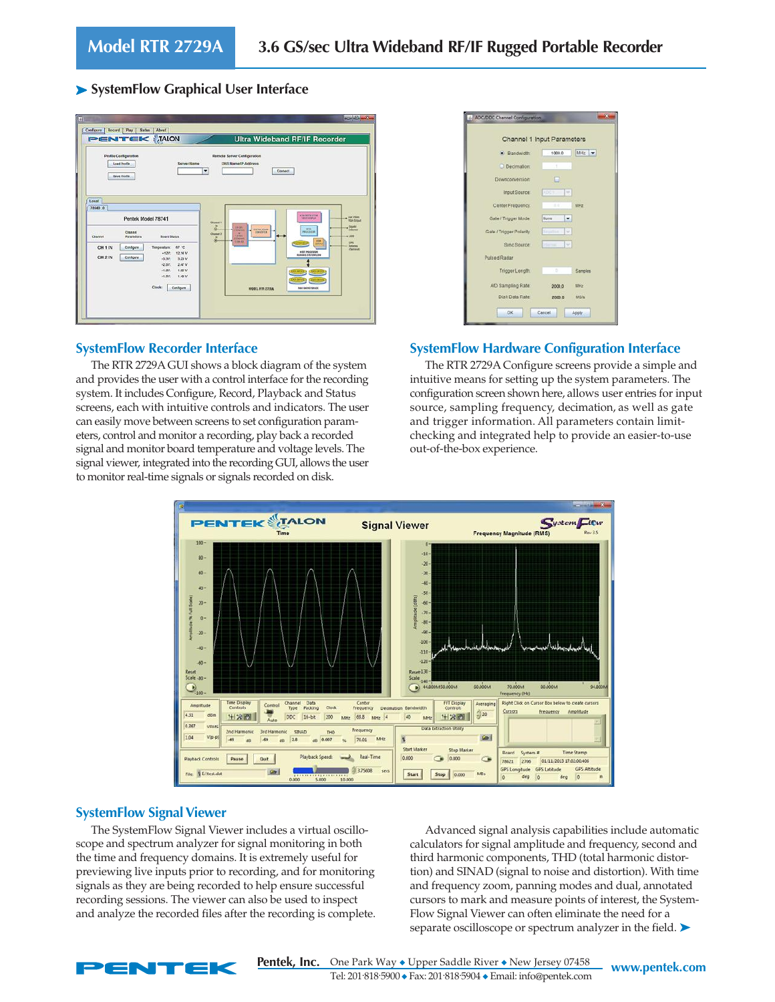## ➤ **SystemFlow Graphical User Interface**



## **SystemFlow Recorder Interface**

The RTR 2729A GUI shows a block diagram of the system and provides the user with a control interface for the recording system. It includes Configure, Record, Playback and Status screens, each with intuitive controls and indicators. The user can easily move between screens to set configuration parameters, control and monitor a recording, play back a recorded signal and monitor board temperature and voltage levels. The signal viewer, integrated into the recording GUI, allows the user to monitor real-time signals or signals recorded on disk.

| Channel 1 Input Parameters |                          |             |
|----------------------------|--------------------------|-------------|
| <b>Bandwidth</b>           | 1000.0                   | MHz -       |
| O Decimation:              | $\overline{\phantom{a}}$ |             |
| Downconversion:            | o                        |             |
| Input Source:              | <b>ADCY</b><br>u         |             |
| Center Frequency.          | $\pi$ =                  | MHz         |
| Gate / Trigger Mode:       | None<br>٠                |             |
| Gate / Trigger Polanty:    | Ninsellie<br>ω           |             |
| Sync Source:               | ÷<br><b>Internal</b>     |             |
| <b>Pulsed Radar</b>        |                          |             |
| Trigger Length:            | b                        | Samples     |
| A/D Sampling Rate:         | 2000.0                   | MHz         |
| Disk Data Rate:            | 2000.0                   | <b>US/s</b> |

## **SystemFlow Hardware Configuration Interface**

The RTR 2729A Configure screens provide a simple and intuitive means for setting up the system parameters. The configuration screen shown here, allows user entries for input source, sampling frequency, decimation, as well as gate and trigger information. All parameters contain limitchecking and integrated help to provide an easier-to-use out-of-the-box experience.



## **SystemFlow Signal Viewer**

The SystemFlow Signal Viewer includes a virtual oscilloscope and spectrum analyzer for signal monitoring in both the time and frequency domains. It is extremely useful for previewing live inputs prior to recording, and for monitoring signals as they are being recorded to help ensure successful recording sessions. The viewer can also be used to inspect and analyze the recorded files after the recording is complete.

Advanced signal analysis capabilities include automatic calculators for signal amplitude and frequency, second and third harmonic components, THD (total harmonic distortion) and SINAD (signal to noise and distortion). With time and frequency zoom, panning modes and dual, annotated cursors to mark and measure points of interest, the System-Flow Signal Viewer can often eliminate the need for a separate oscilloscope or spectrum analyzer in the field.  $\blacktriangleright$ 



**WRIGHT ONE Park Way ◆ Upper Saddle River ◆ New Jersey 07458 WWW.pentek.com** Tel: 201. 818. 5900 ◆ Fax: 201. 818. 5904 ◆ Email: info@pentek.com **Pentek, Inc.**